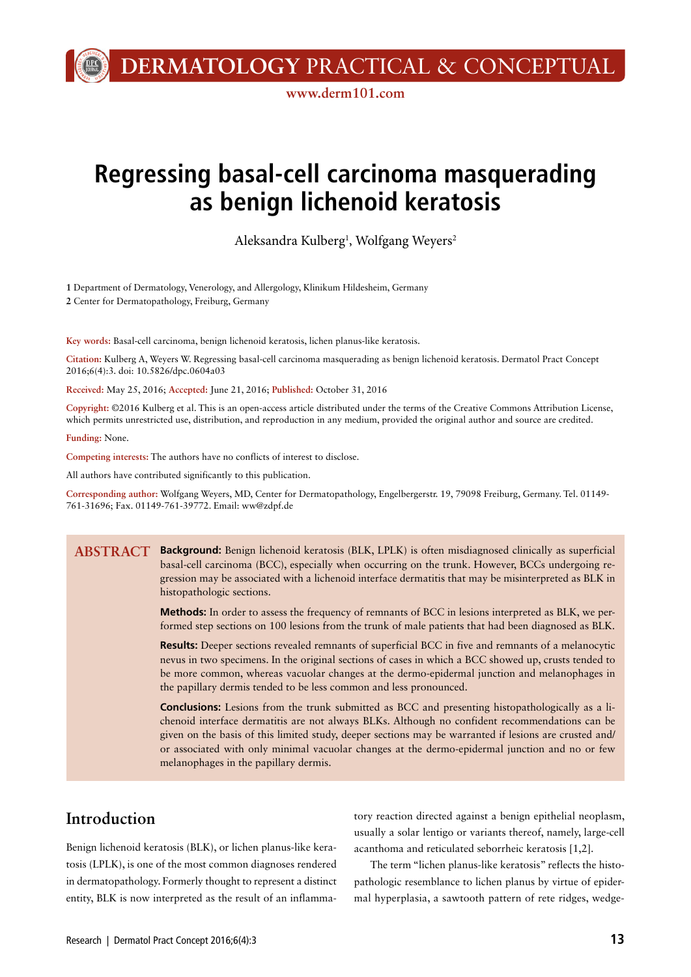**DERMATOLOGY** PRACTICAL & CONCEPTUAL

**www.derm101.com**

# **Regressing basal-cell carcinoma masquerading as benign lichenoid keratosis**

Aleksandra Kulberg<sup>1</sup>, Wolfgang Weyers<sup>2</sup>

**1** Department of Dermatology, Venerology, and Allergology, Klinikum Hildesheim, Germany **2** Center for Dermatopathology, Freiburg, Germany

**Key words:** Basal-cell carcinoma, benign lichenoid keratosis, lichen planus-like keratosis.

**Citation:** Kulberg A, Weyers W. Regressing basal-cell carcinoma masquerading as benign lichenoid keratosis. Dermatol Pract Concept 2016;6(4):3. doi: 10.5826/dpc.0604a03

**Received:** May 25, 2016; **Accepted:** June 21, 2016; **Published:** October 31, 2016

**Copyright:** ©2016 Kulberg et al. This is an open-access article distributed under the terms of the Creative Commons Attribution License, which permits unrestricted use, distribution, and reproduction in any medium, provided the original author and source are credited.

**Funding:** None.

**Competing interests:** The authors have no conflicts of interest to disclose.

All authors have contributed significantly to this publication.

**Corresponding author:** Wolfgang Weyers, MD, Center for Dermatopathology, Engelbergerstr. 19, 79098 Freiburg, Germany. Tel. 01149- 761-31696; Fax. 01149-761-39772. Email: ww@zdpf.de

**Background:** Benign lichenoid keratosis (BLK, LPLK) is often misdiagnosed clinically as superficial **ABSTRACT**basal-cell carcinoma (BCC), especially when occurring on the trunk. However, BCCs undergoing regression may be associated with a lichenoid interface dermatitis that may be misinterpreted as BLK in histopathologic sections.

> **Methods:** In order to assess the frequency of remnants of BCC in lesions interpreted as BLK, we performed step sections on 100 lesions from the trunk of male patients that had been diagnosed as BLK.

> **Results:** Deeper sections revealed remnants of superficial BCC in five and remnants of a melanocytic nevus in two specimens. In the original sections of cases in which a BCC showed up, crusts tended to be more common, whereas vacuolar changes at the dermo-epidermal junction and melanophages in the papillary dermis tended to be less common and less pronounced.

> **Conclusions:** Lesions from the trunk submitted as BCC and presenting histopathologically as a lichenoid interface dermatitis are not always BLKs. Although no confident recommendations can be given on the basis of this limited study, deeper sections may be warranted if lesions are crusted and/ or associated with only minimal vacuolar changes at the dermo-epidermal junction and no or few melanophages in the papillary dermis.

### **Introduction**

Benign lichenoid keratosis (BLK), or lichen planus-like keratosis (LPLK), is one of the most common diagnoses rendered in dermatopathology. Formerly thought to represent a distinct entity, BLK is now interpreted as the result of an inflammatory reaction directed against a benign epithelial neoplasm, usually a solar lentigo or variants thereof, namely, large-cell acanthoma and reticulated seborrheic keratosis [1,2].

The term "lichen planus-like keratosis" reflects the histopathologic resemblance to lichen planus by virtue of epidermal hyperplasia, a sawtooth pattern of rete ridges, wedge-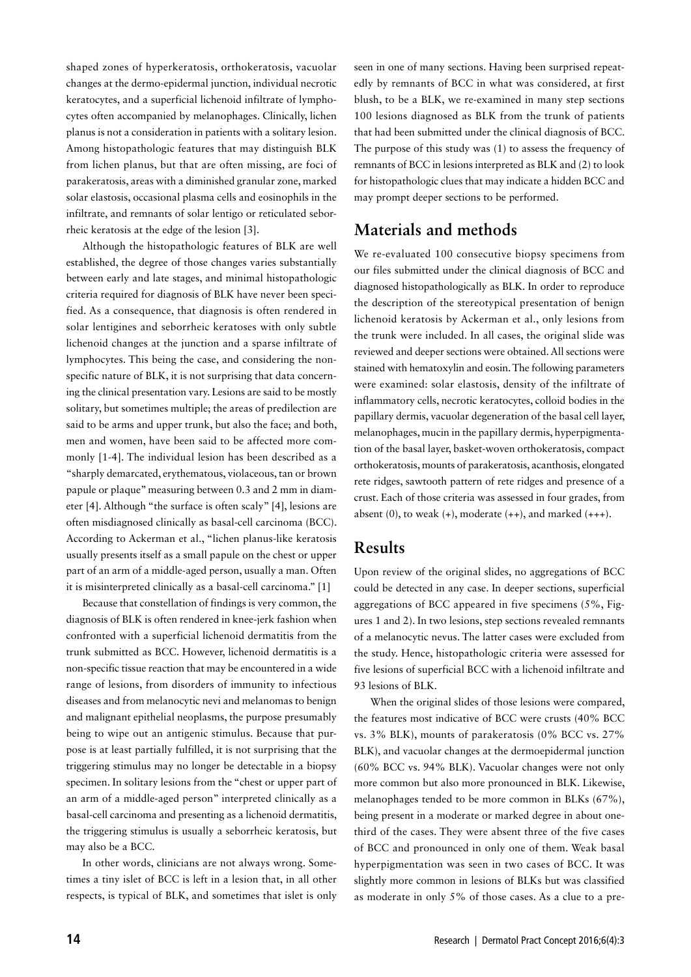shaped zones of hyperkeratosis, orthokeratosis, vacuolar changes at the dermo-epidermal junction, individual necrotic keratocytes, and a superficial lichenoid infiltrate of lymphocytes often accompanied by melanophages. Clinically, lichen planus is not a consideration in patients with a solitary lesion. Among histopathologic features that may distinguish BLK from lichen planus, but that are often missing, are foci of parakeratosis, areas with a diminished granular zone, marked solar elastosis, occasional plasma cells and eosinophils in the infiltrate, and remnants of solar lentigo or reticulated seborrheic keratosis at the edge of the lesion [3].

Although the histopathologic features of BLK are well established, the degree of those changes varies substantially between early and late stages, and minimal histopathologic criteria required for diagnosis of BLK have never been specified. As a consequence, that diagnosis is often rendered in solar lentigines and seborrheic keratoses with only subtle lichenoid changes at the junction and a sparse infiltrate of lymphocytes. This being the case, and considering the nonspecific nature of BLK, it is not surprising that data concerning the clinical presentation vary. Lesions are said to be mostly solitary, but sometimes multiple; the areas of predilection are said to be arms and upper trunk, but also the face; and both, men and women, have been said to be affected more commonly [1-4]. The individual lesion has been described as a "sharply demarcated, erythematous, violaceous, tan or brown papule or plaque" measuring between 0.3 and 2 mm in diameter [4]. Although "the surface is often scaly" [4], lesions are often misdiagnosed clinically as basal-cell carcinoma (BCC). According to Ackerman et al., "lichen planus-like keratosis usually presents itself as a small papule on the chest or upper part of an arm of a middle-aged person, usually a man. Often it is misinterpreted clinically as a basal-cell carcinoma." [1]

Because that constellation of findings is very common, the diagnosis of BLK is often rendered in knee-jerk fashion when confronted with a superficial lichenoid dermatitis from the trunk submitted as BCC. However, lichenoid dermatitis is a non-specific tissue reaction that may be encountered in a wide range of lesions, from disorders of immunity to infectious diseases and from melanocytic nevi and melanomas to benign and malignant epithelial neoplasms, the purpose presumably being to wipe out an antigenic stimulus. Because that purpose is at least partially fulfilled, it is not surprising that the triggering stimulus may no longer be detectable in a biopsy specimen. In solitary lesions from the "chest or upper part of an arm of a middle-aged person" interpreted clinically as a basal-cell carcinoma and presenting as a lichenoid dermatitis, the triggering stimulus is usually a seborrheic keratosis, but may also be a BCC.

In other words, clinicians are not always wrong. Sometimes a tiny islet of BCC is left in a lesion that, in all other respects, is typical of BLK, and sometimes that islet is only

seen in one of many sections. Having been surprised repeatedly by remnants of BCC in what was considered, at first blush, to be a BLK, we re-examined in many step sections 100 lesions diagnosed as BLK from the trunk of patients that had been submitted under the clinical diagnosis of BCC. The purpose of this study was (1) to assess the frequency of remnants of BCC in lesions interpreted as BLK and (2) to look for histopathologic clues that may indicate a hidden BCC and may prompt deeper sections to be performed.

## **Materials and methods**

We re-evaluated 100 consecutive biopsy specimens from our files submitted under the clinical diagnosis of BCC and diagnosed histopathologically as BLK. In order to reproduce the description of the stereotypical presentation of benign lichenoid keratosis by Ackerman et al., only lesions from the trunk were included. In all cases, the original slide was reviewed and deeper sections were obtained. All sections were stained with hematoxylin and eosin. The following parameters were examined: solar elastosis, density of the infiltrate of inflammatory cells, necrotic keratocytes, colloid bodies in the papillary dermis, vacuolar degeneration of the basal cell layer, melanophages, mucin in the papillary dermis, hyperpigmentation of the basal layer, basket-woven orthokeratosis, compact orthokeratosis, mounts of parakeratosis, acanthosis, elongated rete ridges, sawtooth pattern of rete ridges and presence of a crust. Each of those criteria was assessed in four grades, from absent  $(0)$ , to weak  $(+)$ , moderate  $(+)$ , and marked  $(++)$ .

#### **Results**

Upon review of the original slides, no aggregations of BCC could be detected in any case. In deeper sections, superficial aggregations of BCC appeared in five specimens (5%, Figures 1 and 2). In two lesions, step sections revealed remnants of a melanocytic nevus. The latter cases were excluded from the study. Hence, histopathologic criteria were assessed for five lesions of superficial BCC with a lichenoid infiltrate and 93 lesions of BLK.

When the original slides of those lesions were compared, the features most indicative of BCC were crusts (40% BCC vs. 3% BLK), mounts of parakeratosis (0% BCC vs. 27% BLK), and vacuolar changes at the dermoepidermal junction (60% BCC vs. 94% BLK). Vacuolar changes were not only more common but also more pronounced in BLK. Likewise, melanophages tended to be more common in BLKs (67%), being present in a moderate or marked degree in about onethird of the cases. They were absent three of the five cases of BCC and pronounced in only one of them. Weak basal hyperpigmentation was seen in two cases of BCC. It was slightly more common in lesions of BLKs but was classified as moderate in only 5% of those cases. As a clue to a pre-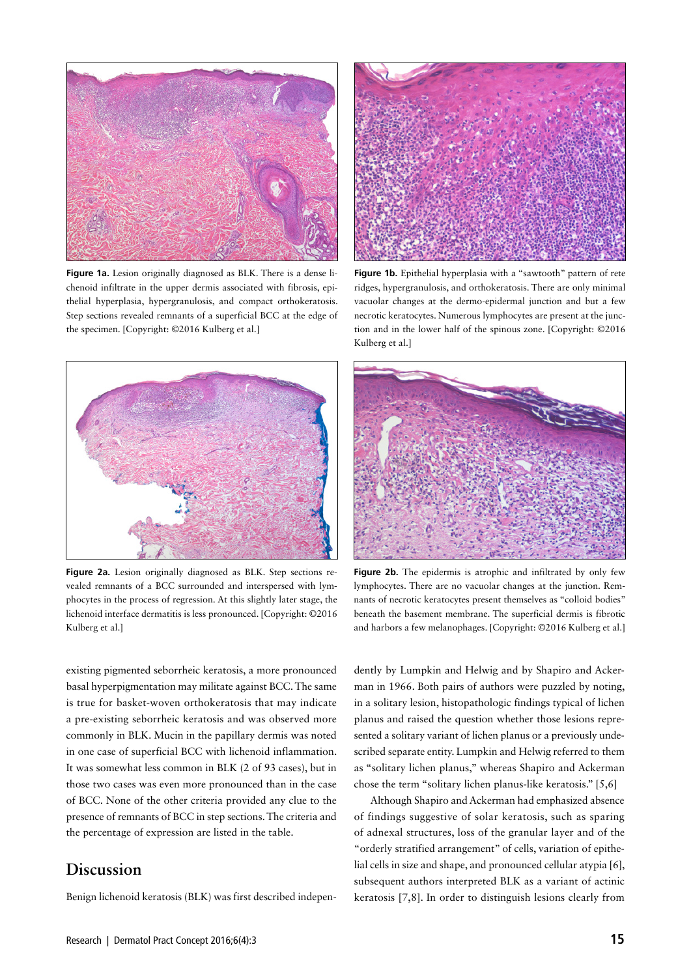

**Figure 1a.** Lesion originally diagnosed as BLK. There is a dense lichenoid infiltrate in the upper dermis associated with fibrosis, epithelial hyperplasia, hypergranulosis, and compact orthokeratosis. Step sections revealed remnants of a superficial BCC at the edge of the specimen. [Copyright: ©2016 Kulberg et al.]



Figure 1b. Epithelial hyperplasia with a "sawtooth" pattern of rete ridges, hypergranulosis, and orthokeratosis. There are only minimal vacuolar changes at the dermo-epidermal junction and but a few necrotic keratocytes. Numerous lymphocytes are present at the junction and in the lower half of the spinous zone. [Copyright: ©2016 Kulberg et al.]



**Figure 2a.** Lesion originally diagnosed as BLK. Step sections revealed remnants of a BCC surrounded and interspersed with lymphocytes in the process of regression. At this slightly later stage, the lichenoid interface dermatitis is less pronounced. [Copyright: ©2016 Kulberg et al.]

existing pigmented seborrheic keratosis, a more pronounced basal hyperpigmentation may militate against BCC. The same is true for basket-woven orthokeratosis that may indicate a pre-existing seborrheic keratosis and was observed more commonly in BLK. Mucin in the papillary dermis was noted in one case of superficial BCC with lichenoid inflammation. It was somewhat less common in BLK (2 of 93 cases), but in those two cases was even more pronounced than in the case of BCC. None of the other criteria provided any clue to the presence of remnants of BCC in step sections. The criteria and the percentage of expression are listed in the table.

## **Discussion**

Benign lichenoid keratosis (BLK) was first described indepen-



Figure 2b. The epidermis is atrophic and infiltrated by only few lymphocytes. There are no vacuolar changes at the junction. Remnants of necrotic keratocytes present themselves as "colloid bodies" beneath the basement membrane. The superficial dermis is fibrotic and harbors a few melanophages. [Copyright: ©2016 Kulberg et al.]

dently by Lumpkin and Helwig and by Shapiro and Ackerman in 1966. Both pairs of authors were puzzled by noting, in a solitary lesion, histopathologic findings typical of lichen planus and raised the question whether those lesions represented a solitary variant of lichen planus or a previously undescribed separate entity. Lumpkin and Helwig referred to them as "solitary lichen planus," whereas Shapiro and Ackerman chose the term "solitary lichen planus-like keratosis." [5,6]

Although Shapiro and Ackerman had emphasized absence of findings suggestive of solar keratosis, such as sparing of adnexal structures, loss of the granular layer and of the "orderly stratified arrangement" of cells, variation of epithelial cells in size and shape, and pronounced cellular atypia [6], subsequent authors interpreted BLK as a variant of actinic keratosis [7,8]. In order to distinguish lesions clearly from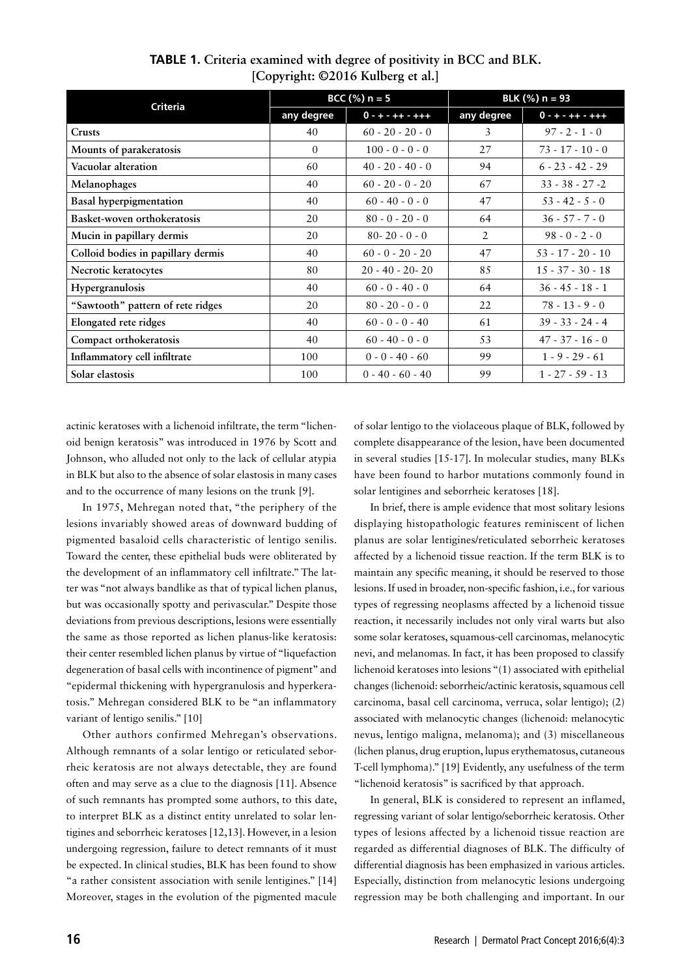| <b>Criteria</b>                    | BCC $(\%)$ n = 5 |                       | BLK $(\%)$ n = 93 |                       |
|------------------------------------|------------------|-----------------------|-------------------|-----------------------|
|                                    | any degree       | $0 - + - + + - + + +$ | any degree        | $0 - + - + + - + + +$ |
| <b>Crusts</b>                      | 40               | $60 - 20 - 20 - 0$    | 3                 | $97 - 2 - 1 - 0$      |
| Mounts of parakeratosis            | $\Omega$         | $100 - 0 - 0 - 0$     | 27                | $73 - 17 - 10 - 0$    |
| Vacuolar alteration                | 60               | $40 - 20 - 40 - 0$    | 94                | $6 - 23 - 42 - 29$    |
| Melanophages                       | 40               | $60 - 20 - 0 - 20$    | 67                | $33 - 38 - 27 - 2$    |
| <b>Basal hyperpigmentation</b>     | 40               | $60 - 40 - 0 - 0$     | 47                | $53 - 42 - 5 - 0$     |
| Basket-woven orthokeratosis        | 20               | $80 - 0 - 20 - 0$     | 64                | $36 - 57 - 7 - 0$     |
| Mucin in papillary dermis          | 20               | $80 - 20 - 0 - 0$     | 2                 | $98 - 0 - 2 - 0$      |
| Colloid bodies in papillary dermis | 40               | $60 - 0 - 20 - 20$    | 47                | $53 - 17 - 20 - 10$   |
| Necrotic keratocytes               | 80               | $20 - 40 - 20 - 20$   | 85                | $15 - 37 - 30 - 18$   |
| <b>Hypergranulosis</b>             | 40               | $60 - 0 - 40 - 0$     | 64                | $36 - 45 - 18 - 1$    |
| "Sawtooth" pattern of rete ridges  | 20               | $80 - 20 - 0 - 0$     | 22                | $78 - 13 - 9 - 0$     |
| Elongated rete ridges              | 40               | $60 - 0 - 0 - 40$     | 61                | $39 - 33 - 24 - 4$    |
| Compact orthokeratosis             | 40               | $60 - 40 - 0 - 0$     | 53                | $47 - 37 - 16 - 0$    |
| Inflammatory cell infiltrate       | 100              | $0 - 0 - 40 - 60$     | 99                | $1 - 9 - 29 - 61$     |
| Solar elastosis                    | 100              | $0 - 40 - 60 - 40$    | 99                | $1 - 27 - 59 - 13$    |

**TABLE 1. Criteria examined with degree of positivity in BCC and BLK. [Copyright: ©2016 Kulberg et al.]**

actinic keratoses with a lichenoid infiltrate, the term "lichenoid benign keratosis" was introduced in 1976 by Scott and Johnson, who alluded not only to the lack of cellular atypia in BLK but also to the absence of solar elastosis in many cases and to the occurrence of many lesions on the trunk [9].

In 1975, Mehregan noted that, "the periphery of the lesions invariably showed areas of downward budding of pigmented basaloid cells characteristic of lentigo senilis. Toward the center, these epithelial buds were obliterated by the development of an inflammatory cell infiltrate." The latter was "not always bandlike as that of typical lichen planus, but was occasionally spotty and perivascular." Despite those deviations from previous descriptions, lesions were essentially the same as those reported as lichen planus-like keratosis: their center resembled lichen planus by virtue of "liquefaction degeneration of basal cells with incontinence of pigment" and "epidermal thickening with hypergranulosis and hyperkeratosis." Mehregan considered BLK to be "an inflammatory variant of lentigo senilis." [10]

Other authors confirmed Mehregan's observations. Although remnants of a solar lentigo or reticulated seborrheic keratosis are not always detectable, they are found often and may serve as a clue to the diagnosis [11]. Absence of such remnants has prompted some authors, to this date, to interpret BLK as a distinct entity unrelated to solar lentigines and seborrheic keratoses [12,13]. However, in a lesion undergoing regression, failure to detect remnants of it must be expected. In clinical studies, BLK has been found to show "a rather consistent association with senile lentigines." [14] Moreover, stages in the evolution of the pigmented macule of solar lentigo to the violaceous plaque of BLK, followed by complete disappearance of the lesion, have been documented in several studies [15-17]. In molecular studies, many BLKs have been found to harbor mutations commonly found in solar lentigines and seborrheic keratoses [18].

In brief, there is ample evidence that most solitary lesions displaying histopathologic features reminiscent of lichen planus are solar lentigines/reticulated seborrheic keratoses affected by a lichenoid tissue reaction. If the term BLK is to maintain any specific meaning, it should be reserved to those lesions. If used in broader, non-specific fashion, i.e., for various types of regressing neoplasms affected by a lichenoid tissue reaction, it necessarily includes not only viral warts but also some solar keratoses, squamous-cell carcinomas, melanocytic nevi, and melanomas. In fact, it has been proposed to classify lichenoid keratoses into lesions "(1) associated with epithelial changes (lichenoid: seborrheic/actinic keratosis, squamous cell carcinoma, basal cell carcinoma, verruca, solar lentigo); (2) associated with melanocytic changes (lichenoid: melanocytic nevus, lentigo maligna, melanoma); and (3) miscellaneous (lichen planus, drug eruption, lupus erythematosus, cutaneous T-cell lymphoma)." [19] Evidently, any usefulness of the term "lichenoid keratosis" is sacrificed by that approach.

In general, BLK is considered to represent an inflamed, regressing variant of solar lentigo/seborrheic keratosis. Other types of lesions affected by a lichenoid tissue reaction are regarded as differential diagnoses of BLK. The difficulty of differential diagnosis has been emphasized in various articles. Especially, distinction from melanocytic lesions undergoing regression may be both challenging and important. In our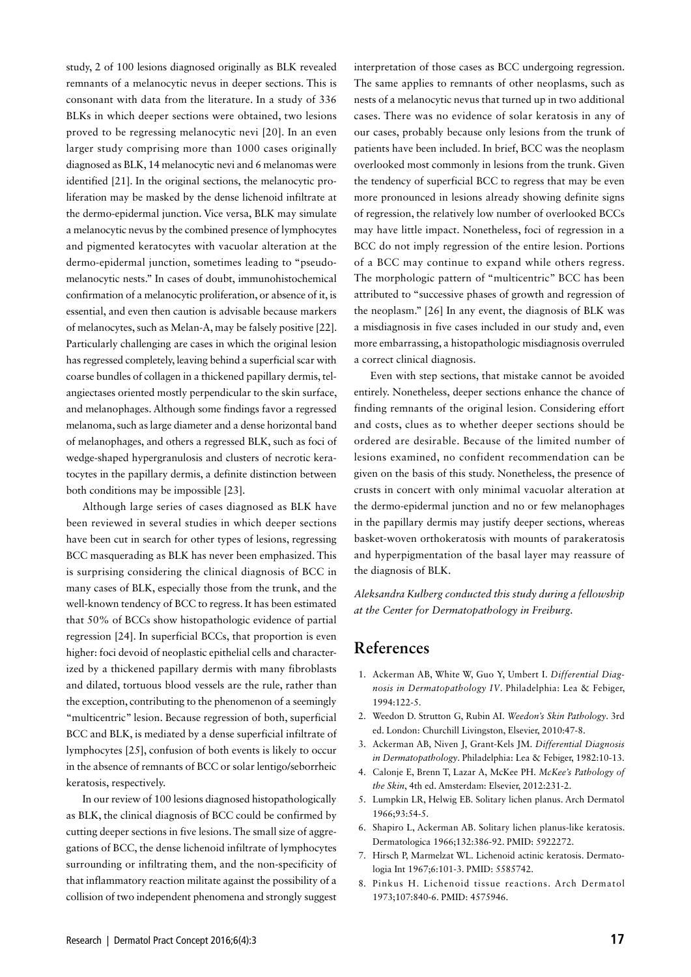study, 2 of 100 lesions diagnosed originally as BLK revealed remnants of a melanocytic nevus in deeper sections. This is consonant with data from the literature. In a study of 336 BLKs in which deeper sections were obtained, two lesions proved to be regressing melanocytic nevi [20]. In an even larger study comprising more than 1000 cases originally diagnosed as BLK, 14 melanocytic nevi and 6 melanomas were identified [21]. In the original sections, the melanocytic proliferation may be masked by the dense lichenoid infiltrate at the dermo-epidermal junction. Vice versa, BLK may simulate a melanocytic nevus by the combined presence of lymphocytes and pigmented keratocytes with vacuolar alteration at the dermo-epidermal junction, sometimes leading to "pseudomelanocytic nests." In cases of doubt, immunohistochemical confirmation of a melanocytic proliferation, or absence of it, is essential, and even then caution is advisable because markers of melanocytes, such as Melan-A, may be falsely positive [22]. Particularly challenging are cases in which the original lesion has regressed completely, leaving behind a superficial scar with coarse bundles of collagen in a thickened papillary dermis, telangiectases oriented mostly perpendicular to the skin surface, and melanophages. Although some findings favor a regressed melanoma, such as large diameter and a dense horizontal band of melanophages, and others a regressed BLK, such as foci of wedge-shaped hypergranulosis and clusters of necrotic keratocytes in the papillary dermis, a definite distinction between both conditions may be impossible [23].

Although large series of cases diagnosed as BLK have been reviewed in several studies in which deeper sections have been cut in search for other types of lesions, regressing BCC masquerading as BLK has never been emphasized. This is surprising considering the clinical diagnosis of BCC in many cases of BLK, especially those from the trunk, and the well-known tendency of BCC to regress. It has been estimated that 50% of BCCs show histopathologic evidence of partial regression [24]. In superficial BCCs, that proportion is even higher: foci devoid of neoplastic epithelial cells and characterized by a thickened papillary dermis with many fibroblasts and dilated, tortuous blood vessels are the rule, rather than the exception, contributing to the phenomenon of a seemingly "multicentric" lesion. Because regression of both, superficial BCC and BLK, is mediated by a dense superficial infiltrate of lymphocytes [25], confusion of both events is likely to occur in the absence of remnants of BCC or solar lentigo/seborrheic keratosis, respectively.

In our review of 100 lesions diagnosed histopathologically as BLK, the clinical diagnosis of BCC could be confirmed by cutting deeper sections in five lesions. The small size of aggregations of BCC, the dense lichenoid infiltrate of lymphocytes surrounding or infiltrating them, and the non-specificity of that inflammatory reaction militate against the possibility of a collision of two independent phenomena and strongly suggest interpretation of those cases as BCC undergoing regression. The same applies to remnants of other neoplasms, such as nests of a melanocytic nevus that turned up in two additional cases. There was no evidence of solar keratosis in any of our cases, probably because only lesions from the trunk of patients have been included. In brief, BCC was the neoplasm overlooked most commonly in lesions from the trunk. Given the tendency of superficial BCC to regress that may be even more pronounced in lesions already showing definite signs of regression, the relatively low number of overlooked BCCs may have little impact. Nonetheless, foci of regression in a BCC do not imply regression of the entire lesion. Portions of a BCC may continue to expand while others regress. The morphologic pattern of "multicentric" BCC has been attributed to "successive phases of growth and regression of the neoplasm." [26] In any event, the diagnosis of BLK was a misdiagnosis in five cases included in our study and, even more embarrassing, a histopathologic misdiagnosis overruled a correct clinical diagnosis.

Even with step sections, that mistake cannot be avoided entirely. Nonetheless, deeper sections enhance the chance of finding remnants of the original lesion. Considering effort and costs, clues as to whether deeper sections should be ordered are desirable. Because of the limited number of lesions examined, no confident recommendation can be given on the basis of this study. Nonetheless, the presence of crusts in concert with only minimal vacuolar alteration at the dermo-epidermal junction and no or few melanophages in the papillary dermis may justify deeper sections, whereas basket-woven orthokeratosis with mounts of parakeratosis and hyperpigmentation of the basal layer may reassure of the diagnosis of BLK.

*Aleksandra Kulberg conducted this study during a fellowship at the Center for Dermatopathology in Freiburg.*

#### **References**

- 1. Ackerman AB, White W, Guo Y, Umbert I. *Differential Diagnosis in Dermatopathology IV*. Philadelphia: Lea & Febiger, 1994:122-5.
- 2. Weedon D. Strutton G, Rubin AI. *Weedon's Skin Pathology*. 3rd ed. London: Churchill Livingston, Elsevier, 2010:47-8.
- 3. Ackerman AB, Niven J, Grant-Kels JM. *Differential Diagnosis in Dermatopathology*. Philadelphia: Lea & Febiger, 1982:10-13.
- 4. Calonje E, Brenn T, Lazar A, McKee PH. *McKee's Pathology of the Skin*, 4th ed. Amsterdam: Elsevier, 2012:231-2.
- 5. Lumpkin LR, Helwig EB. Solitary lichen planus. Arch Dermatol 1966;93:54-5.
- 6. Shapiro L, Ackerman AB. Solitary lichen planus-like keratosis. Dermatologica 1966;132:386-92. PMID: 5922272.
- 7. Hirsch P, Marmelzat WL. Lichenoid actinic keratosis. Dermatologia Int 1967;6:101-3. PMID: 5585742.
- 8. Pinkus H. Lichenoid tissue reactions. Arch Dermatol 1973;107:840-6. PMID: 4575946.